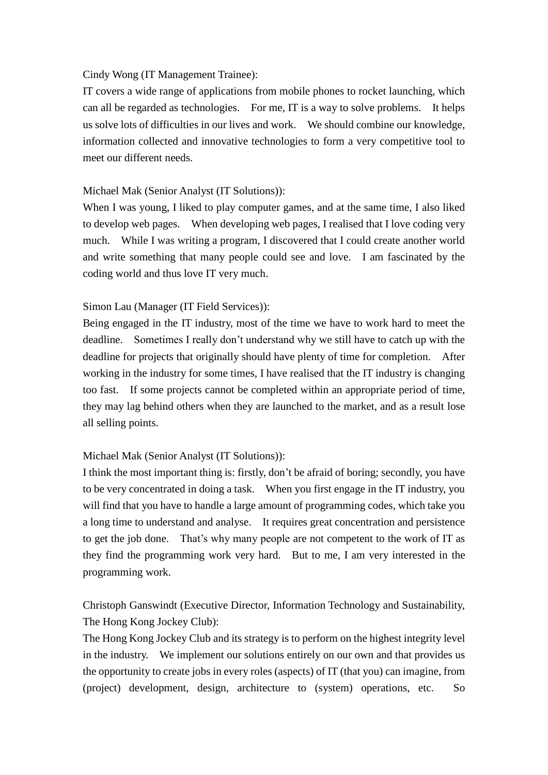## Cindy Wong (IT Management Trainee):

 IT covers a wide range of applications from mobile phones to rocket launching, which can all be regarded as technologies. For me, IT is a way to solve problems. It helps us solve lots of difficulties in our lives and work. We should combine our knowledge, information collected and innovative technologies to form a very competitive tool to meet our different needs.

## Michael Mak (Senior Analyst (IT Solutions)):

 When I was young, I liked to play computer games, and at the same time, I also liked to develop web pages. When developing web pages, I realised that I love coding very much. While I was writing a program, I discovered that I could create another world and write something that many people could see and love. I am fascinated by the coding world and thus love IT very much.

## Simon Lau (Manager (IT Field Services)):

 Being engaged in the IT industry, most of the time we have to work hard to meet the deadline. Sometimes I really don't understand why we still have to catch up with the deadline for projects that originally should have plenty of time for completion. After working in the industry for some times, I have realised that the IT industry is changing too fast. If some projects cannot be completed within an appropriate period of time, they may lag behind others when they are launched to the market, and as a result lose all selling points.

## Michael Mak (Senior Analyst (IT Solutions)):

 I think the most important thing is: firstly, don't be afraid of boring; secondly, you have to be very concentrated in doing a task. When you first engage in the IT industry, you will find that you have to handle a large amount of programming codes, which take you a long time to understand and analyse. It requires great concentration and persistence to get the job done. That's why many people are not competent to the work of IT as they find the programming work very hard. But to me, I am very interested in the programming work.

 Christoph Ganswindt (Executive Director, Information Technology and Sustainability, The Hong Kong Jockey Club):

 The Hong Kong Jockey Club and its strategy is to perform on the highest integrity level in the industry. We implement our solutions entirely on our own and that provides us the opportunity to create jobs in every roles (aspects) of IT (that you) can imagine, from (project) development, design, architecture to (system) operations, etc. So